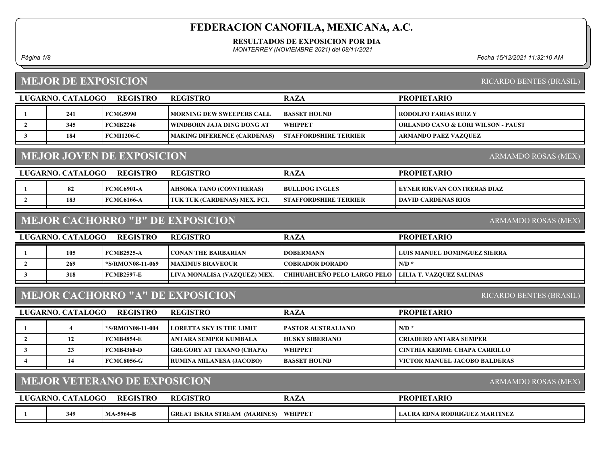RESULTADOS DE EXPOSICION POR DIA

MONTERREY (NOVIEMBRE 2021) del 08/11/2021

Página 1/8 Fecha 15/12/2021 11:32:10 AM

# MEJOR DE EXPOSICION

| LUGARNO. CATALOGO | <b>REGISTRO</b> | <b>REGISTRO</b>                    | <b>RAZA</b>                  | <b>PROPIETARIO</b>                 |
|-------------------|-----------------|------------------------------------|------------------------------|------------------------------------|
| 241               | <b>FCMG5990</b> | <b>MORNING DEW SWEEPERS CALL</b>   | <b>IBASSET HOUND</b>         | <b>  RODOLFO FARIAS RUIZ Y</b>     |
| 345               | <b>FCMB2246</b> | WINDBORN JAJA DING DONG AT         | <b>WHIPPET</b>               | ORLANDO CANO & LORI WILSON - PAUST |
| 184               | FCMI1206-C      | <b>MAKING DIFERENCE (CARDENAS)</b> | <b>STAFFORDSHIRE TERRIER</b> | ARMANDO PAEZ VAZOUEZ               |
|                   |                 |                                    |                              |                                    |

### MEJOR JOVEN DE EXPOSICION

| LUGARNO. CATALOGO | <b>REGISTRO</b> | <b>REGISTRO</b>                     | <b>RAZA</b>                  | <b>PROPIETARIO</b>           |
|-------------------|-----------------|-------------------------------------|------------------------------|------------------------------|
|                   | FCMC6901-A      | AHSOKA TANO (CO9NTRERAS)            | <b>IBULLDOG INGLES</b>       | EYNER RIKVAN CONTRERAS DIAZ- |
| 183               | FCMC6166-A      | <b>TUK TUK (CARDENAS) MEX. FCI.</b> | <b>STAFFORDSHIRE TERRIER</b> | DAVID CARDENAS RIOS          |

### MEJOR CACHORRO "B" DE EXPOSICION

| LUGARNO. CATALOGO | REGISTRO          | REGISTRO                     | <b>RAZA</b>                                            | <b>PROPIETARIO</b>           |
|-------------------|-------------------|------------------------------|--------------------------------------------------------|------------------------------|
| 105               | <b>FCMB2525-A</b> | <b>ICONAN THE BARBARIAN</b>  | <b>IDOBERMANN</b>                                      | LUIS MANUEL DOMINGUEZ SIERRA |
| 269               | 5/RMON08-11-069"> | <b>IMAXIMUS BRAVEOUR</b>     | COBRADOR DORADO_                                       | $N/D$ *                      |
| 318               | FCMB2597-E        | LIVA MONALISA (VAZQUEZ) MEX. | CHIHUAHUEÑO PELO LARGO PELO   LILIA T. VAZOUEZ SALINAS |                              |

### MEJOR CACHORRO "A" DE EXPOSICION

| LUGARNO. CATALOGO | <b>REGISTRO</b>   | <b>REGISTRO</b>                  | <b>RAZA</b>               | <b>PROPIETARIO</b>            |
|-------------------|-------------------|----------------------------------|---------------------------|-------------------------------|
|                   | *S/RMON08-11-004  | <b>ILORETTA SKY IS THE LIMIT</b> | <b>PASTOR AUSTRALIANO</b> | $N/D$ *                       |
|                   | <b>FCMB4854-E</b> | TANTARA SEMPER KUMBALA           | <b>HUSKY SIBERIANO</b>    | CRIADERO ANTARA SEMPER-       |
| 23                | <b>FCMB4368-D</b> | GREGORY AT TEXANO (CHAPA)        | <b>WHIPPET</b>            | CINTHIA KERIME CHAPA CARRILLO |
| 14                | FCMC8056-G        | <b>RUMINA MILANESA (JACOBO)</b>  | <b>BASSET HOUND</b>       | VICTOR MANUEL JACOBO BALDERAS |

### MEJOR VETERANO DE EXPOSICION

| LUGARNO. CATALOGO | <b>REGISTRO</b>  | <b>REGISTRO</b>                             | <b>RAZA</b>    | <b>PROPIETARIO</b>                 |
|-------------------|------------------|---------------------------------------------|----------------|------------------------------------|
| 349               | <b>MA-5964-B</b> | (MARINES)<br><b>GRE</b><br>[ ISKRA STREAM ] | <b>WHIPPET</b> | A RODRIGUEZ MARTINEZ<br>LAURA EDNA |

RICARDO BENTES (BRASIL)

ARMAMDO ROSAS (MEX)

ARMAMDO ROSAS (MEX)

RICARDO BENTES (BRASIL)

ARMAMDO ROSAS (MEX)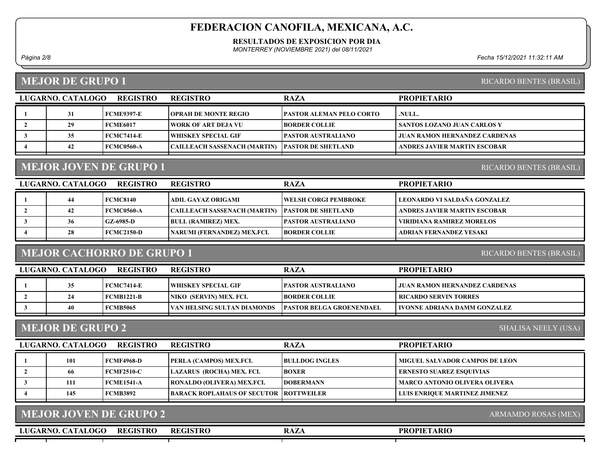RESULTADOS DE EXPOSICION POR DIA

MONTERREY (NOVIEMBRE 2021) del 08/11/2021

### MEJOR DE GRUPO 1

Página 2/8 Fecha 15/12/2021 11:32:11 AM

RICARDO BENTES (BRASIL)

RICARDO BENTES (BRASIL)

| LUGARNO, CATALOGO | <b>REGISTRO</b>   | <b>REGISTRO</b>              | <b>RAZA</b>                      | <b>PROPIETARIO</b>                   |
|-------------------|-------------------|------------------------------|----------------------------------|--------------------------------------|
| 31                | FCME9397-E        | <b>OPRAH DE MONTE REGIO</b>  | <b> PASTOR ALEMAN PELO CORTO</b> | .NULL.                               |
| 29                | FCME6017          | WORK OF ART DEJA VU          | <b>IBORDER COLLIE</b>            | SANTOS LOZANO JUAN CARLOS Y          |
| 35                | <b>FCMC7414-E</b> | WHISKEY SPECIAL GIF          | <b>  PASTOR AUSTRALIANO</b>      | <b>JUAN RAMON HERNANDEZ CARDENAS</b> |
| 42                | <b>FCMC0560-A</b> | CAILLEACH SASSENACH (MARTIN) | <b>IPASTOR DE SHETLAND</b>       | ANDRES JAVIER MARTIN ESCOBAR         |

# MEJOR JOVEN DE GRUPO 1

| LUGARNO. CATALOGO | <b>REGISTRO</b>   | <b>REGISTRO</b>                     | <b>RAZA</b>                | <b>PROPIETARIO</b>               |
|-------------------|-------------------|-------------------------------------|----------------------------|----------------------------------|
| 44                | <b>FCMC8140</b>   | <b>ADIL GAYAZ ORIGAMI</b>           | WELSH CORGI PEMBROKE       | - LEONARDO VI SALDAÑA GONZALEZ   |
| 42                | <b>FCMC0560-A</b> | <b>CAILLEACH SASSENACH (MARTIN)</b> | <b>IPASTOR DE SHETLAND</b> | ANDRES JAVIER MARTIN ESCOBAR     |
| 36                | GZ-6985-D         | <b>BULL (RAMIREZ) MEX.</b>          | <b>PASTOR AUSTRALIANO</b>  | <b>VIRIDIANA RAMIREZ MORELOS</b> |
| 28                | FCMC2150-D        | NARUMI (FERNANDEZ) MEX.FCI.         | <b>IBORDER COLLIE</b>      | ADRIAN FERNANDEZ YESAKI          |
|                   |                   |                                     |                            |                                  |

# MEJOR CACHORRO DE GRUPO 1

RICARDO BENTES (BRASIL)

| LUGARNO. CATALOGO<br><b>REGISTRO</b> |    |                   | <b>REGISTRO</b>                     | <b>RAZA</b>                      | <b>PROPIETARIO</b>            |
|--------------------------------------|----|-------------------|-------------------------------------|----------------------------------|-------------------------------|
|                                      | 35 | <b>FCMC7414-E</b> | WHISKEY SPECIAL GIF                 | <b> PASTOR AUSTRALIANO</b>       | JUAN RAMON HERNANDEZ CARDENAS |
|                                      | 24 | FCMB1221-B        | INIKO (SERVIN) MEX. FCI.            | <b>BORDER COLLIE</b>             | <b>RICARDO SERVIN TORRES</b>  |
|                                      |    | <b>FCMB5065</b>   | <b>IVAN HELSING SULTAN DIAMONDS</b> | <b>IPASTOR BELGA GROENENDAEL</b> | IVONNE ADRIANA DAMM GONZALEZ- |

# MEJOR DE GRUPO 2

SHALISA NEELY (USA)

| LUGARNO. CATALOGO | <b>REGISTRO</b>   | <b>REGISTRO</b>                               | <b>RAZA</b>           | <b>PROPIETARIO</b>             |
|-------------------|-------------------|-----------------------------------------------|-----------------------|--------------------------------|
| 101               | FCMF4968-D        | <b>PERLA (CAMPOS) MEX.FCI.</b>                | <b>BULLDOG INGLES</b> | MIGUEL SALVADOR CAMPOS DE LEON |
| 66                | <b>FCMF2510-C</b> | LAZARUS (ROCHA) MEX. FCI.                     | <b>BOXER</b>          | ERNESTO SUAREZ ESOUIVIAS       |
| 111               | FCME1541-A        | <b>RONALDO (OLIVERA) MEX.FCI.</b>             | <b>IDOBERMANN</b>     | MARCO ANTONIO OLIVERA OLIVERA  |
| 145               | FCMB3892          | <b>BARACK ROPLAHAUS OF SECUTOR ROTTWEILER</b> |                       | LUIS ENRIOUE MARTINEZ JIMENEZ  |
|                   |                   |                                               |                       |                                |

| MEJOR JOVEN DE GRUPO 2               | ARMAMDO ROSAS (MEX) |             |                    |  |
|--------------------------------------|---------------------|-------------|--------------------|--|
| <b>REGISTRO</b><br>LUGARNO. CATALOGO | <b>REGISTRO</b>     | <b>RAZA</b> | <b>PROPIETARIO</b> |  |
|                                      |                     |             |                    |  |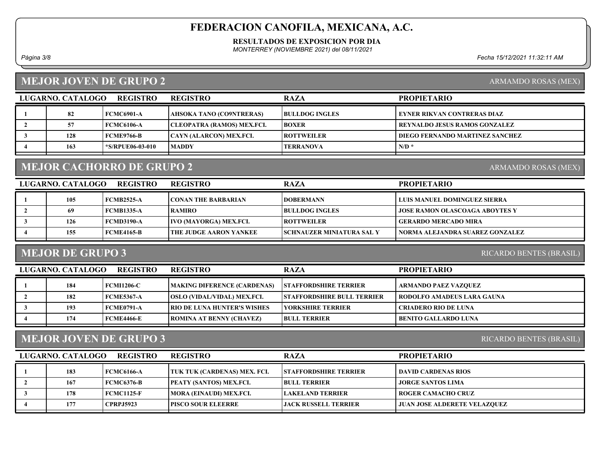RESULTADOS DE EXPOSICION POR DIA

MONTERREY (NOVIEMBRE 2021) del 08/11/2021

Página 3/8 Fecha 15/12/2021 11:32:11 AM

## MEJOR JOVEN DE GRUPO 2

ARMAMDO ROSAS (MEX)

| LUGARNO. CATALOGO | <b>REGISTRO</b>  | <b>REGISTRO</b>                   | <b>RAZA</b>           | <b>PROPIETARIO</b>                   |
|-------------------|------------------|-----------------------------------|-----------------------|--------------------------------------|
| 82                | FCMC6901-A       | AHSOKA TANO (CO9NTRERAS)          | <b>BULLDOG INGLES</b> | EYNER RIKVAN CONTRERAS DIAZ          |
| 57                | FCMC6106-A       | <b>CLEOPATRA (RAMOS) MEX.FCI.</b> | <b>BOXER</b>          | <b>REYNALDO JESUS RAMOS GONZALEZ</b> |
| 128               | FCME9766-B       | <b>CAYN (ALARCON) MEX.FCI.</b>    | <b>ROTTWEILER</b>     | DIEGO FERNANDO MARTINEZ SANCHEZ      |
| 163               | *S/RPUE06-03-010 | <b>MADDY</b>                      | <b>TERRANOVA</b>      | $N/D^*$                              |

# MEJOR CACHORRO DE GRUPO 2

| LUGARNO. CATALOGO | <b>REGISTRO</b>   | <b>REGISTRO</b>               | <b>RAZA</b>                       | <b>PROPIETARIO</b>                    |
|-------------------|-------------------|-------------------------------|-----------------------------------|---------------------------------------|
| 105               | FCMB2525-A        | <b>CONAN THE BARBARIAN</b>    | <b>IDOBERMANN</b>                 | LUIS MANUEL DOMINGUEZ SIERRA          |
| 69                | FCMB1335-A        | RAMIRO                        | <b>BULLDOG INGLES</b>             | <b>JOSE RAMON OLASCOAGA ABOYTES Y</b> |
| 126               | <b>FCMD3190-A</b> | <b>IVO (MAYORGA) MEX.FCI.</b> | <b>IROTTWEILER</b>                | <b>GERARDO MERCADO MIRA</b>           |
| 155               | FCME4165-B        | THE JUDGE AARON YANKEE        | <b>ISCHNAUZER MINIATURA SAL Y</b> | NORMA ALEJANDRA SUAREZ GONZALEZ       |
|                   |                   |                               |                                   |                                       |

### MEJOR DE GRUPO 3

RICARDO BENTES (BRASIL)

| LUGARNO. CATALOGO | <b>REGISTRO</b>   | <b>REGISTRO</b>                    | <b>RAZA</b>                       | <b>PROPIETARIO</b>          |
|-------------------|-------------------|------------------------------------|-----------------------------------|-----------------------------|
| 184               | <b>FCMI1206-C</b> | <b>MAKING DIFERENCE (CARDENAS)</b> | <b>STAFFORDSHIRE TERRIER</b>      | ARMANDO PAEZ VAZQUEZ        |
| 182               | <b>FCME5367-A</b> | <b>OSLO (VIDAL/VIDAL) MEX.FCI.</b> | <b>STAFFORDSHIRE BULL TERRIER</b> | RODOLFO AMADEUS LARA GAUNA  |
| 193               | FCME0791-A        | <b>RIO DE LUNA HUNTER'S WISHES</b> | <b>TYORKSHIRE TERRIER</b>         | <b>CRIADERO RIO DE LUNA</b> |
| 174               | <b>FCME4466-E</b> | <b>TROMINA AT BENNY (CHAVEZ)</b>   | <b>BULL TERRIER</b>               | <b>BENITO GALLARDO LUNA</b> |

### MEJOR JOVEN DE GRUPO 3

RICARDO BENTES (BRASIL)

| LUGARNO. CATALOGO | <b>REGISTRO</b>   | <b>REGISTRO</b>                | <b>RAZA</b>                  | <b>PROPIETARIO</b>                  |
|-------------------|-------------------|--------------------------------|------------------------------|-------------------------------------|
| 183               | FCMC6166-A        | TUK TUK (CARDENAS) MEX. FCI.   | <b>STAFFORDSHIRE TERRIER</b> | DAVID CARDENAS RIOS                 |
| 167               | <b>FCMC6376-B</b> | <b>PEATY (SANTOS) MEX.FCI.</b> | <b>BULL TERRIER</b>          | <b>JORGE SANTOS LIMA</b>            |
| 178               | FCMC1125-F        | MORA (EINAUDI) MEX.FCI.        | <b>LAKELAND TERRIER</b>      | <b>ROGER CAMACHO CRUZ</b>           |
| 177               | <b>CPRPJ5923</b>  | <b>IPISCO SOUR ELEERRE</b>     | LIACK RUSSELL TERRIER-       | <b>JUAN JOSE ALDERETE VELAZQUEZ</b> |
|                   |                   |                                |                              |                                     |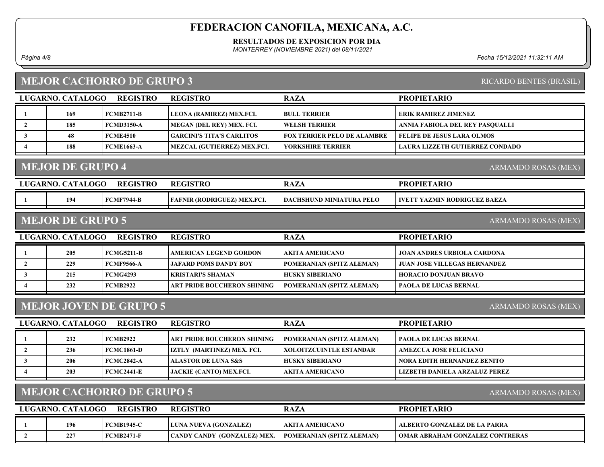RESULTADOS DE EXPOSICION POR DIA

MONTERREY (NOVIEMBRE 2021) del 08/11/2021

### MEJOR CACHORRO DE GRUPO 3

| Página 4/8 | Fecha 15/12/2021 11:32:11 AM |
|------------|------------------------------|
|------------|------------------------------|

RICARDO BENTES (BRASIL)

| LUGARNO. CATALOGO                              | <b>REGISTRO</b>   | <b>REGISTRO</b>             | <b>RAZA</b>                 | <b>PROPIETARIO</b>                     |  |  |  |
|------------------------------------------------|-------------------|-----------------------------|-----------------------------|----------------------------------------|--|--|--|
| 169                                            | <b>FCMB2711-B</b> | LEONA (RAMIREZ) MEX.FCI.    | <b>BULL TERRIER</b>         | <b>ERIK RAMIREZ JIMENEZ</b>            |  |  |  |
| 185                                            | <b>FCMD3150-A</b> | MEGAN (DEL REY) MEX. FCI.   | <b>WELSH TERRIER</b>        | ANNIA FABIOLA DEL REY PASQUALLI        |  |  |  |
| 48                                             | <b>FCME4510</b>   | GARCINI'S TITA'S CARLITOS   | FOX TERRIER PELO DE ALAMBRE | <b>FELIPE DE JESUS LARA OLMOS</b>      |  |  |  |
| 188                                            | <b>FCME1663-A</b> | MEZCAL (GUTIERREZ) MEX.FCI. | <b>YORKSHIRE TERRIER</b>    | <b>LAURA LIZZETH GUTIERREZ CONDADO</b> |  |  |  |
| <b>MEJOR DE GRUPO 4</b><br>ARMAMDO ROSAS (MEX) |                   |                             |                             |                                        |  |  |  |
| LUGARNO. CATALOGO                              | <b>REGISTRO</b>   | <b>REGISTRO</b>             | <b>RAZA</b>                 | <b>PROPIETARIO</b>                     |  |  |  |

| 194 | 744-B<br>:MF | <b>MEX.FCI.</b><br>$\mathbf{r}$ and $\mathbf{r}$ and $\mathbf{r}$<br><b>(RODRIGI</b><br>NIK<br>''LL | <b>DACHSHU</b><br>DEL<br><b>THD</b><br><b>MINIA</b><br>$\cdots$<br>ND.<br>LUKA<br>I E LA | TVE.<br><b>RODRIGUEZ</b><br><b>BAEZ</b><br>' ZMIN .<br>A |
|-----|--------------|-----------------------------------------------------------------------------------------------------|------------------------------------------------------------------------------------------|----------------------------------------------------------|
|     |              |                                                                                                     |                                                                                          |                                                          |
|     |              |                                                                                                     |                                                                                          |                                                          |

#### MEJOR DE GRUPO 5

LUGARNO. CATALOGO REGISTRO RAZA PROPIETARIO REGISTRO 1 205 FCMG5211-B AMERICAN LEGEND GORDON AKITA AMERICANO JOAN ANDRES URBIOLA CARDONA 2 229 FCMF9566-A JAFARD POMS DANDY BOY POMERANIAN (SPITZ ALEMAN) JUAN JOSE VILLEGAS HERNANDEZ 3 215 FCMG4293 KRISTARI'S SHAMAN HUSKY SIBERIANO HORACIO DONJUAN BRAVO 4 232 FCMB2922 ART PRIDE BOUCHERON SHINING POMERANIAN (SPITZ ALEMAN) PAOLA DE LUCAS BERNAL

#### MEJOR JOVEN DE GRUPO 5

ARMAMDO ROSAS (MEX)

| LUGARNO. CATALOGO | <b>REGISTRO</b>   | <b>REGISTRO</b>                    | <b>RAZA</b>                      | <b>PROPIETARIO</b>            |
|-------------------|-------------------|------------------------------------|----------------------------------|-------------------------------|
| 232               | <b>FCMB2922</b>   | <b>ART PRIDE BOUCHERON SHINING</b> | <b>POMERANIAN (SPITZ ALEMAN)</b> | <b>PAOLA DE LUCAS BERNAL</b>  |
| 236               | <b>FCMC1861-D</b> | <b>IZTLY (MARTINEZ) MEX. FCI.</b>  | <b>IXOLOITZCUINTLE ESTANDAR</b>  | <b>AMEZCUA JOSE FELICIANO</b> |
| 206               | FCMC2842-A        | <b>ALASTOR DE LUNA S&amp;S</b>     | <b>HUSKY SIBERIANO</b>           | NORA EDITH HERNANDEZ BENITO   |
| 203               | FCMC2441-E        | <b>JACKIE (CANTO) MEX.FCI.</b>     | <b>AKITA AMERICANO</b>           | LIZBETH DANIELA ARZALUZ PEREZ |

## MEJOR CACHORRO DE GRUPO 5

ARMAMDO ROSAS (MEX)

| LUGARNO. CATALOGO | <b>REGISTRO</b>   | <b>REGISTRO</b>                    | RAZA                             | <b>PROPIETARIO</b>                |
|-------------------|-------------------|------------------------------------|----------------------------------|-----------------------------------|
| 196               | <b>FCMB1945-C</b> | LUNA NUEVA (GONZALEZ)              | AKITA AMERICANO                  | ALBERTO GONZALEZ DE LA PARRA      |
| 227               | <b>FCMB2471-F</b> | <b>CANDY CANDY (GONZALEZ) MEX.</b> | <b>POMERANIAN (SPITZ ALEMAN)</b> | I OMAR ABRAHAM GONZALEZ CONTRERAS |

ARMAMDO ROSAS (MEX)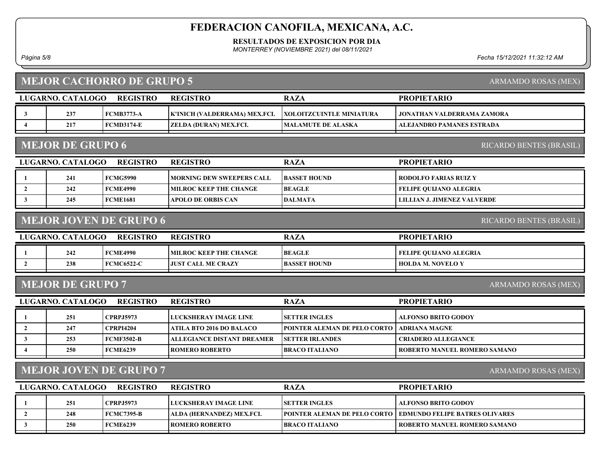RESULTADOS DE EXPOSICION POR DIA

MONTERREY (NOVIEMBRE 2021) del 08/11/2021

Página 5/8 Fecha 15/12/2021 11:32:12 AM

### MEJOR CACHORRO DE GRUPO 5

LUGARNO. CATALOGO REGISTRO REGISTRO

REGISTRO

|                                                          | <b>LUGARNO. CATALOGO</b> | <b>REGISTRO</b>   | <b>REGISTRO</b>                   | <b>RAZA</b>                     | <b>PROPIETARIO</b>                 |  |
|----------------------------------------------------------|--------------------------|-------------------|-----------------------------------|---------------------------------|------------------------------------|--|
| 3                                                        | 237                      | <b>FCMB3773-A</b> | K'INICH (VALDERRAMA) MEX.FCI.     | <b>XOLOITZCUINTLE MINIATURA</b> | <b>JONATHAN VALDERRAMA ZAMORA</b>  |  |
| $\overline{\mathbf{4}}$                                  | 217                      | <b>FCMD3174-E</b> | ZELDA (DURAN) MEX.FCI.            | <b>MALAMUTE DE ALASKA</b>       | <b>ALEJANDRO PAMANES ESTRADA</b>   |  |
|                                                          |                          |                   |                                   |                                 |                                    |  |
|                                                          | <b>MEJOR DE GRUPO 6</b>  |                   |                                   |                                 | RICARDO BENTES (BRASIL)            |  |
|                                                          | LUGARNO. CATALOGO        | <b>REGISTRO</b>   | <b>REGISTRO</b>                   | <b>RAZA</b>                     | <b>PROPIETARIO</b>                 |  |
| -1                                                       | 241                      | <b>FCMG5990</b>   | <b>MORNING DEW SWEEPERS CALL</b>  | <b>BASSET HOUND</b>             | <b>RODOLFO FARIAS RUIZ Y</b>       |  |
| $\overline{2}$                                           | 242                      | <b>FCME4990</b>   | <b>MILROC KEEP THE CHANGE</b>     | <b>BEAGLE</b>                   | <b>FELIPE OUIJANO ALEGRIA</b>      |  |
| $\mathbf{3}$                                             | 245                      | <b>FCME1681</b>   | <b>APOLO DE ORBIS CAN</b>         | <b>DALMATA</b>                  | <b>LILLIAN J. JIMENEZ VALVERDE</b> |  |
|                                                          |                          |                   |                                   |                                 |                                    |  |
| <b>MEJOR JOVEN DE GRUPO 6</b><br>RICARDO BENTES (BRASIL) |                          |                   |                                   |                                 |                                    |  |
|                                                          |                          |                   |                                   |                                 |                                    |  |
|                                                          | LUGARNO. CATALOGO        | <b>REGISTRO</b>   | <b>REGISTRO</b>                   | <b>RAZA</b>                     | <b>PROPIETARIO</b>                 |  |
| -1                                                       | 242                      | <b>FCME4990</b>   | <b>MILROC KEEP THE CHANGE</b>     | <b>BEAGLE</b>                   | FELIPE QUIJANO ALEGRIA             |  |
| $\overline{2}$                                           | 238                      | <b>FCMC6522-C</b> | <b>JUST CALL ME CRAZY</b>         | <b>BASSET HOUND</b>             | <b>HOLDA M. NOVELO Y</b>           |  |
|                                                          |                          |                   |                                   |                                 |                                    |  |
|                                                          | <b>MEJOR DE GRUPO 7</b>  |                   |                                   |                                 | ARMAMDO ROSAS (MEX)                |  |
|                                                          | LUGARNO. CATALOGO        | <b>REGISTRO</b>   | <b>REGISTRO</b>                   | <b>RAZA</b>                     | <b>PROPIETARIO</b>                 |  |
| -1                                                       | 251                      | <b>CPRPJ5973</b>  | LUCKSHERAY IMAGE LINE             | <b>SETTER INGLES</b>            | <b>ALFONSO BRITO GODOY</b>         |  |
| $\overline{2}$                                           | 247                      | <b>CPRPI4204</b>  | <b>ATILA BTO 2016 DO BALACO</b>   | POINTER ALEMAN DE PELO CORTO    | <b>ADRIANA MAGNE</b>               |  |
| $\mathbf{3}$                                             | 253                      | <b>FCMF3502-B</b> | <b>ALLEGIANCE DISTANT DREAMER</b> | <b>SETTER IRLANDES</b>          | <b>CRIADERO ALLEGIANCE</b>         |  |

#### MEJOR JOVEN DE GRUPO 7

LUGARNO. CATALOGO REGISTRO RAZA PROPIETARIO REGISTRO 1 251 CPRPJ5973 LUCKSHERAY IMAGE LINE SETTER INGLES ALFONSO BRITO GODOY 2 248 FCMC7395-B ALDA (HERNANDEZ) MEX.FCI. POINTER ALEMAN DE PELO CORTO EDMUNDO FELIPE BATRES OLIVARES 3 250 FCME6239 ROMERO ROBERTO BRACO ITALIANO ROBERTO ROBERTO ROBERTO ROBERTO ROBERTO ROBERTO ROBERTO BRACO ITALIANO

ARMAMDO ROSAS (MEX)

ARMAMDO ROSAS (MEX)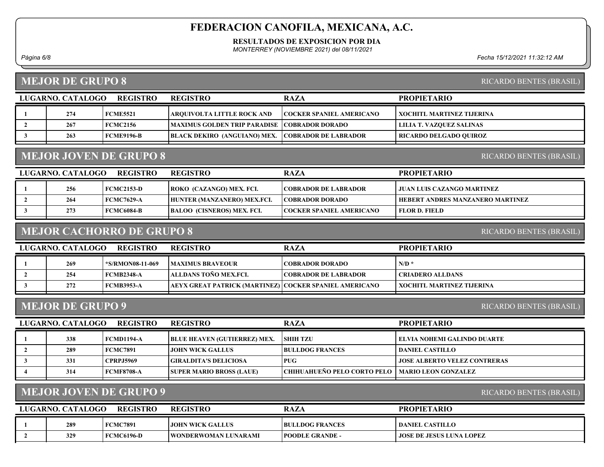RESULTADOS DE EXPOSICION POR DIA

MONTERREY (NOVIEMBRE 2021) del 08/11/2021

## MEJOR DE GRUPO 8

Página 6/8 Fecha 15/12/2021 11:32:12 AM

RICARDO BENTES (BRASIL)

| LUGARNO. CATALOGO | <b>REGISTRO</b> | <b>REGISTRO</b>                                          | <b>RAZA</b>                     | <b>PROPIETARIO</b>        |
|-------------------|-----------------|----------------------------------------------------------|---------------------------------|---------------------------|
| 274               | <b>FCME5521</b> | <b>ARQUIVOLTA LITTLE ROCK AND</b>                        | <b>COCKER SPANIEL AMERICANO</b> | XOCHITL MARTINEZ TIJERINA |
| 267               | <b>FCMC2156</b> | MAXIMUS GOLDEN TRIP PARADISE   COBRADOR DORADO           |                                 | LILIA T. VAZQUEZ SALINAS  |
| 263               | FCME9196-B      | <b>BLACK DEKIRO (ANGUIANO) MEX. COBRADOR DE LABRADOR</b> |                                 | RICARDO DELGADO OUIROZ    |
|                   |                 |                                                          |                                 |                           |

## MEJOR JOVEN DE GRUPO 8

RICARDO BENTES (BRASIL)

| LUGARNO. CATALOGO<br><b>REGISTRO</b> |     |                   | <b>REGISTRO</b>                   | <b>RAZA</b>                     | <b>PROPIETARIO</b>                      |
|--------------------------------------|-----|-------------------|-----------------------------------|---------------------------------|-----------------------------------------|
|                                      | 256 | FCMC2153-D        | <b>ROKO</b> (CAZANGO) MEX. FCI.   | <b> COBRADOR DE LABRADOR</b>    | <b>I JUAN LUIS CAZANGO MARTINEZ</b>     |
|                                      | 264 | <b>FCMC7629-A</b> | HUNTER (MANZANERO) MEX.FCI.       | <b>COBRADOR DORADO</b>          | <b>HEBERT ANDRES MANZANERO MARTINEZ</b> |
|                                      | 273 | <b>FCMC6084-B</b> | <b>BALOO (CISNEROS) MEX. FCI.</b> | <b>COCKER SPANIEL AMERICANO</b> | FLOR D. FIELD_                          |
|                                      |     |                   |                                   |                                 |                                         |

### MEJOR CACHORRO DE GRUPO 8

RICARDO BENTES (BRASIL)

| LUGARNO. CATALOGO | REGISTRO          | <b>REGISTRO</b>                                           | <b>RAZA</b>                 | <b>PROPIETARIO</b>        |
|-------------------|-------------------|-----------------------------------------------------------|-----------------------------|---------------------------|
| 269               | *S/RMON08-11-069  | <b>IMAXIMUS BRAVEOUR</b>                                  | COBRADOR DORADO_            | $N/D$ *                   |
| 254               | FCMB2348-A        | ALLDANS TOÑO MEX.FCL                                      | <b>COBRADOR DE LABRADOR</b> | <b>CRIADERO ALLDANS</b>   |
| 272               | <b>FCMB3953-A</b> | AEYX GREAT PATRICK (MARTINEZ)   COCKER SPANIEL AMERICANO_ |                             | XOCHITL MARTINEZ TIJERINA |
|                   |                   |                                                           |                             |                           |

#### MEJOR DE GRUPO 9

RICARDO BENTES (BRASIL)

| LUGARNO. CATALOGO<br><b>REGISTRO</b> |     |                   | <b>REGISTRO</b>                     | <b>RAZA</b>                                       | <b>PROPIETARIO</b>                  |
|--------------------------------------|-----|-------------------|-------------------------------------|---------------------------------------------------|-------------------------------------|
|                                      | 338 | <b>FCMD1194-A</b> | <b>BLUE HEAVEN (GUTIERREZ) MEX.</b> | <b>SHIH TZU</b>                                   | ELVIA NOHEMI GALINDO DUARTE         |
|                                      | 289 | <b>FCMC7891</b>   | LIOHN WICK GALLUS                   | <b>BULLDOG FRANCES</b>                            | DANIEL CASTILLO                     |
|                                      | 331 | <b>CPRPJ5969</b>  | GIRALDITA'S DELICIOSA               | <b>PUG</b>                                        | <b>JOSE ALBERTO VELEZ CONTRERAS</b> |
|                                      | 314 | <b>FCMF8708-A</b> | <b>SUPER MARIO BROSS (LAUE)</b>     | CHIHUAHUEÑO PELO CORTO PELO   MARIO LEON GONZALEZ |                                     |
|                                      |     |                   |                                     |                                                   |                                     |

## MEJOR JOVEN DE GRUPO 9

RICARDO BENTES (BRASIL)

| LUGARNO, CATALOGO | <b>REGISTRO</b> | <b>REGISTRO</b>              | <b>RAZA</b>             | <b>PROPIETARIO</b>       |
|-------------------|-----------------|------------------------------|-------------------------|--------------------------|
| 289               | <b>FCMC7891</b> | LIOHN WICK GALLUS            | <b>BULLDOG FRANCES</b>  | DANIEL CASTILLO_         |
| 329               | FCMC6196-D      | <b>IWONDERWOMAN LUNARAMI</b> | <b>IPOODLE GRANDE -</b> | JOSE DE JESUS LUNA LOPEZ |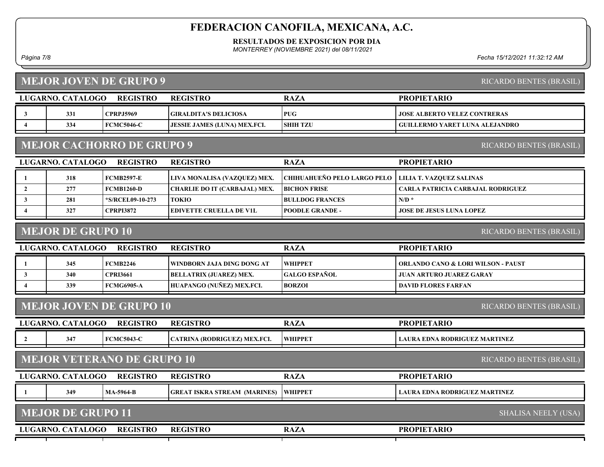RESULTADOS DE EXPOSICION POR DIA

MONTERREY (NOVIEMBRE 2021) del 08/11/2021

### MEJOR JOVEN DE GRUPO 9

Página 7/8 Fecha 15/12/2021 11:32:12 AM

| <b>MEJOR JOVEN DE GRUPO 9</b><br>RICARDO BENTES (BRASIL)               |                          |                   |                                     |                             |                                               |  |
|------------------------------------------------------------------------|--------------------------|-------------------|-------------------------------------|-----------------------------|-----------------------------------------------|--|
| LUGARNO. CATALOGO<br><b>REGISTRO</b><br><b>REGISTRO</b><br><b>RAZA</b> |                          |                   |                                     |                             | <b>PROPIETARIO</b>                            |  |
| $\mathbf{3}$                                                           | 331                      | <b>CPRPJ5969</b>  | <b>GIRALDITA'S DELICIOSA</b>        | <b>PUG</b>                  | <b>JOSE ALBERTO VELEZ CONTRERAS</b>           |  |
| $\overline{4}$                                                         | 334                      | <b>FCMC5046-C</b> | <b>JESSIE JAMES (LUNA) MEX.FCI.</b> | <b>SHIH TZU</b>             | <b>GUILLERMO YARET LUNA ALEJANDRO</b>         |  |
| <b>MEJOR CACHORRO DE GRUPO 9</b>                                       |                          |                   |                                     |                             | RICARDO BENTES (BRASIL)                       |  |
|                                                                        | LUGARNO. CATALOGO        | <b>REGISTRO</b>   | <b>REGISTRO</b>                     | <b>RAZA</b>                 | <b>PROPIETARIO</b>                            |  |
| 1                                                                      | 318                      | <b>FCMB2597-E</b> | LIVA MONALISA (VAZQUEZ) MEX.        | CHIHUAHUEÑO PELO LARGO PELO | LILIA T. VAZQUEZ SALINAS                      |  |
| $\overline{2}$                                                         | 277                      | <b>FCMB1260-D</b> | CHARLIE DO IT (CARBAJAL) MEX.       | <b>BICHON FRISE</b>         | CARLA PATRICIA CARBAJAL RODRIGUEZ             |  |
| 3                                                                      | 281                      | *S/RCEL09-10-273  | <b>TOKIO</b>                        | <b>BULLDOG FRANCES</b>      | $N/D$ *                                       |  |
| $\overline{4}$                                                         | 327                      | <b>CPRPI3872</b>  | <b>EDIVETTE CRUELLA DE V1L</b>      | <b>POODLE GRANDE -</b>      | <b>JOSE DE JESUS LUNA LOPEZ</b>               |  |
| <b>MEJOR DE GRUPO 10</b><br>RICARDO BENTES (BRASIL)                    |                          |                   |                                     |                             |                                               |  |
|                                                                        | LUGARNO. CATALOGO        | <b>REGISTRO</b>   | <b>REGISTRO</b>                     | <b>RAZA</b>                 | <b>PROPIETARIO</b>                            |  |
| 1                                                                      | 345                      | <b>FCMB2246</b>   | WINDBORN JAJA DING DONG AT          | WHIPPET                     | <b>ORLANDO CANO &amp; LORI WILSON - PAUST</b> |  |
| $\mathbf{3}$                                                           | 340                      | <b>CPRI3661</b>   | <b>BELLATRIX (JUAREZ) MEX.</b>      | <b>GALGO ESPAÑOL</b>        | <b>JUAN ARTURO JUAREZ GARAY</b>               |  |
| $\overline{\mathbf{4}}$                                                | 339                      | <b>FCMG6905-A</b> | HUAPANGO (NUÑEZ) MEX.FCI.           | <b>BORZOI</b>               | <b>DAVID FLORES FARFAN</b>                    |  |
| <b>MEJOR JOVEN DE GRUPO 10</b><br>RICARDO BENTES (BRASIL)              |                          |                   |                                     |                             |                                               |  |
|                                                                        | LUGARNO. CATALOGO        | <b>REGISTRO</b>   | <b>REGISTRO</b>                     | <b>RAZA</b>                 | <b>PROPIETARIO</b>                            |  |
| $\overline{2}$                                                         | 347                      | <b>FCMC5043-C</b> | CATRINA (RODRIGUEZ) MEX.FCI.        | WHIPPET                     | <b>LAURA EDNA RODRIGUEZ MARTINEZ</b>          |  |
| <b>MEJOR VETERANO DE GRUPO 10</b><br>RICARDO BENTES (BRASIL)           |                          |                   |                                     |                             |                                               |  |
|                                                                        |                          |                   |                                     |                             |                                               |  |
|                                                                        | LUGARNO. CATALOGO        | <b>REGISTRO</b>   | <b>REGISTRO</b>                     | <b>RAZA</b>                 | <b>PROPIETARIO</b>                            |  |
| -1                                                                     | 349                      | <b>MA-5964-B</b>  | <b>GREAT ISKRA STREAM (MARINES)</b> | <b>WHIPPET</b>              | <b>LAURA EDNA RODRIGUEZ MARTINEZ</b>          |  |
|                                                                        | <b>MEJOR DE GRUPO 11</b> |                   |                                     |                             | <b>SHALISA NEELY (USA)</b>                    |  |